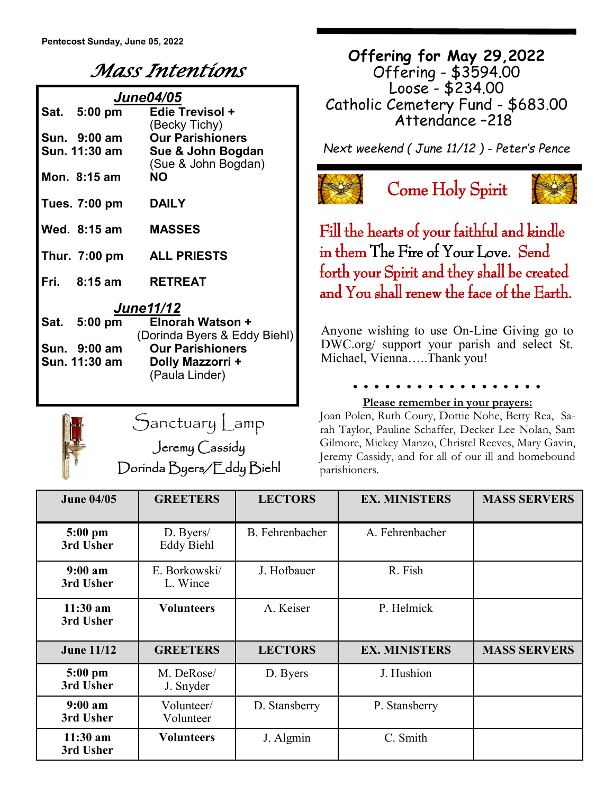## *Mass Intentions*

| <b>June04/05</b> |               |                              |  |  |  |  |
|------------------|---------------|------------------------------|--|--|--|--|
|                  | Sat. 5:00 pm  | <b>Edie Trevisol +</b>       |  |  |  |  |
|                  |               | (Becky Tichy)                |  |  |  |  |
|                  | Sun. 9:00 am  | <b>Our Parishioners</b>      |  |  |  |  |
|                  | Sun. 11:30 am | Sue & John Bogdan            |  |  |  |  |
|                  |               | (Sue & John Bogdan)          |  |  |  |  |
|                  | Mon. 8:15 am  | <b>NO</b>                    |  |  |  |  |
|                  | Tues. 7:00 pm | <b>DAILY</b>                 |  |  |  |  |
|                  |               |                              |  |  |  |  |
|                  | Wed. 8:15 am  | <b>MASSES</b>                |  |  |  |  |
|                  |               |                              |  |  |  |  |
|                  |               | Thur. 7:00 pm ALL PRIESTS    |  |  |  |  |
|                  | Fri. 8:15 am  | <b>RETREAT</b>               |  |  |  |  |
|                  |               |                              |  |  |  |  |
| <b>June11/12</b> |               |                              |  |  |  |  |
|                  | Sat. 5:00 pm  | Elnorah Watson +             |  |  |  |  |
|                  |               | (Dorinda Byers & Eddy Biehl) |  |  |  |  |
|                  | Sun. 9:00 am  | <b>Our Parishioners</b>      |  |  |  |  |

**Sun. 9:00 am Our Parishioners Sun. 11:30 am Dolly Mazzorri +** (Paula Linder)



Sanctuary Lamp

Jeremy Cassidy Dorinda Byers/Eddy Biehl

**Offering for May 29,2022** Offering - \$3594.00 Loose - \$234.00 Catholic Cemetery Fund - \$683.00 Attendance –218

*Next weekend ( June 11/12 ) - Peter's Pence*



Come Holy Spirit



Fill the hearts of your faithful and kindle in them The Fire of Your Love. Send forth your Spirit and they shall be created and You shall renew the face of the Earth.

Anyone wishing to use On-Line Giving go to DWC.org/ support your parish and select St. Michael, Vienna…..Thank you!

**Please remember in your prayers:**

Joan Polen, Ruth Coury, Dottie Nohe, Betty Rea, Sarah Taylor, Pauline Schaffer, Decker Lee Nolan, Sam Gilmore, Mickey Manzo, Christel Reeves, Mary Gavin, Jeremy Cassidy, and for all of our ill and homebound parishioners.

| <b>June 04/05</b>       | <b>GREETERS</b>                | <b>LECTORS</b>  | <b>EX. MINISTERS</b> | <b>MASS SERVERS</b> |
|-------------------------|--------------------------------|-----------------|----------------------|---------------------|
| $5:00$ pm<br>3rd Usher  | D. Byers/<br><b>Eddy Biehl</b> | B. Fehrenbacher | A. Fehrenbacher      |                     |
| 9:00 a m<br>3rd Usher   | E. Borkowski/<br>L. Wince      | J. Hofbauer     | R. Fish              |                     |
| $11:30$ am<br>3rd Usher | <b>Volunteers</b>              | A. Keiser       | P. Helmick           |                     |
| <b>June 11/12</b>       | <b>GREETERS</b>                | <b>LECTORS</b>  | <b>EX. MINISTERS</b> | <b>MASS SERVERS</b> |
| $5:00$ pm<br>3rd Usher  | M. DeRose/<br>J. Snyder        | D. Byers        | J. Hushion           |                     |
| 9:00 a m<br>3rd Usher   | Volunteer/<br>Volunteer        | D. Stansberry   | P. Stansberry        |                     |
| $11:30$ am<br>3rd Usher | <b>Volunteers</b>              | J. Algmin       | C. Smith             |                     |